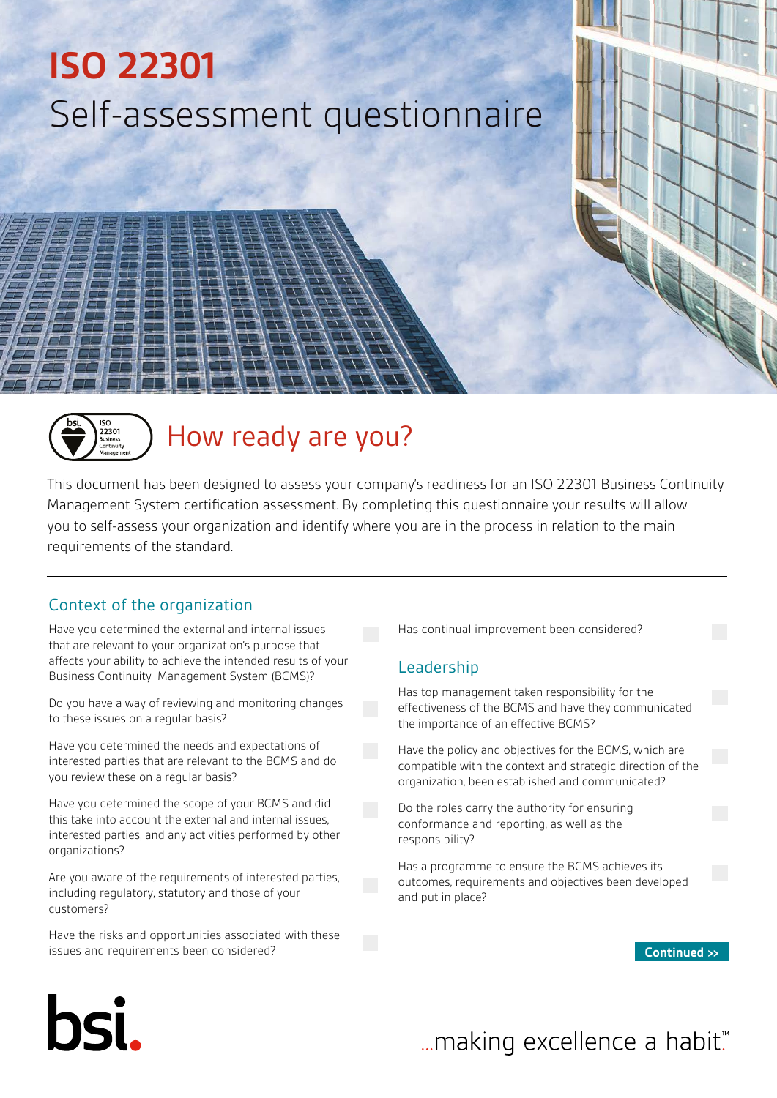## **ISO 22301** Self-assessment questionnaire



### How ready are you?

This document has been designed to assess your company's readiness for an ISO 22301 Business Continuity Management System certification assessment. By completing this questionnaire your results will allow you to self-assess your organization and identify where you are in the process in relation to the main requirements of the standard.

#### Context of the organization

Have you determined the external and internal issues that are relevant to your organization's purpose that affects your ability to achieve the intended results of your Business Continuity Management System (BCMS)?

Do you have a way of reviewing and monitoring changes to these issues on a regular basis?

Have you determined the needs and expectations of interested parties that are relevant to the BCMS and do you review these on a regular basis?

Have you determined the scope of your BCMS and did this take into account the external and internal issues, interested parties, and any activities performed by other organizations?

Are you aware of the requirements of interested parties, including regulatory, statutory and those of your customers?

Have the risks and opportunities associated with these issues and requirements been considered?

Has continual improvement been considered?

#### Leadership

Has top management taken responsibility for the effectiveness of the BCMS and have they communicated the importance of an effective BCMS?

Have the policy and objectives for the BCMS, which are compatible with the context and strategic direction of the organization, been established and communicated?

Do the roles carry the authority for ensuring conformance and reporting, as well as the responsibility?

Has a programme to ensure the BCMS achieves its outcomes, requirements and objectives been developed and put in place?

**Continued >>**

# bsi.

## ... making excellence a habit."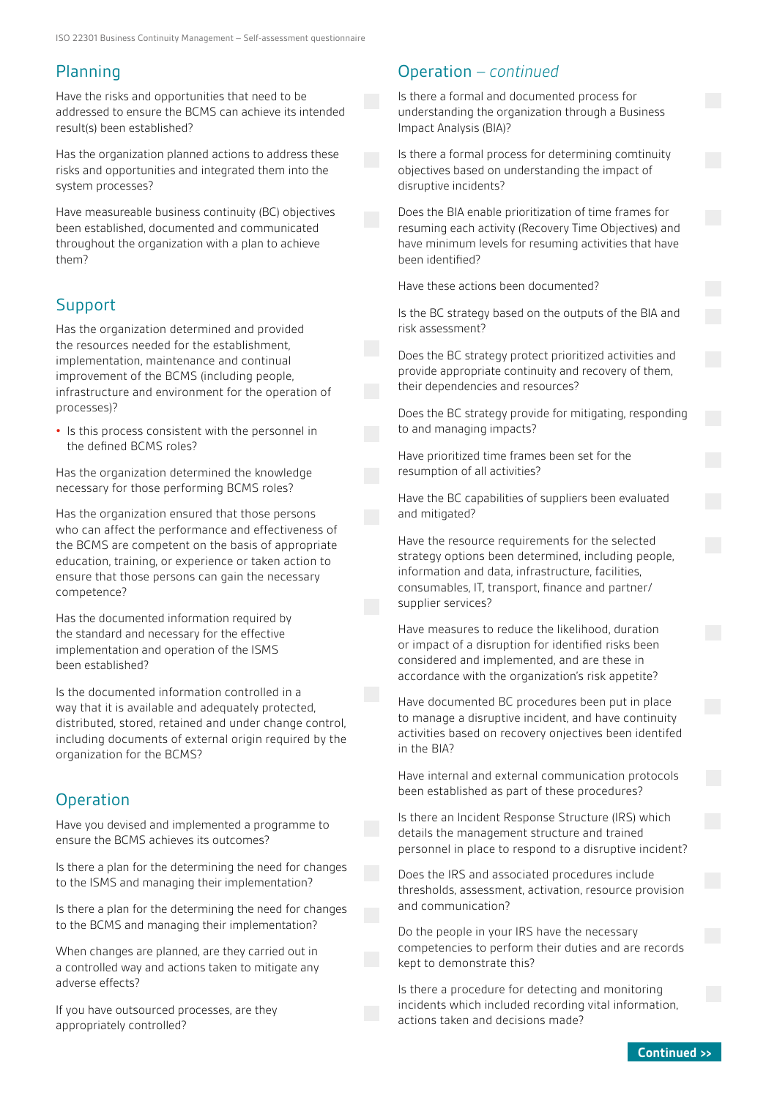#### Planning

Have the risks and opportunities that need to be addressed to ensure the BCMS can achieve its intended result(s) been established?

Has the organization planned actions to address these risks and opportunities and integrated them into the system processes?

Have measureable business continuity (BC) objectives been established, documented and communicated throughout the organization with a plan to achieve them?

#### Support

Has the organization determined and provided the resources needed for the establishment, implementation, maintenance and continual improvement of the BCMS (including people, infrastructure and environment for the operation of processes)?

**•** Is this process consistent with the personnel in the defined BCMS roles?

Has the organization determined the knowledge necessary for those performing BCMS roles?

Has the organization ensured that those persons who can affect the performance and effectiveness of the BCMS are competent on the basis of appropriate education, training, or experience or taken action to ensure that those persons can gain the necessary competence?

Has the documented information required by the standard and necessary for the effective implementation and operation of the ISMS been established?

Is the documented information controlled in a way that it is available and adequately protected, distributed, stored, retained and under change control, including documents of external origin required by the organization for the BCMS?

#### **Operation**

Have you devised and implemented a programme to ensure the BCMS achieves its outcomes?

Is there a plan for the determining the need for changes to the ISMS and managing their implementation?

Is there a plan for the determining the need for changes to the BCMS and managing their implementation?

When changes are planned, are they carried out in a controlled way and actions taken to mitigate any adverse effects?

If you have outsourced processes, are they appropriately controlled?

#### Operation *– continued*

Is there a formal and documented process for understanding the organization through a Business Impact Analysis (BIA)?

Is there a formal process for determining comtinuity objectives based on understanding the impact of disruptive incidents?

Does the BIA enable prioritization of time frames for resuming each activity (Recovery Time Objectives) and have minimum levels for resuming activities that have been identified?

Have these actions been documented?

Is the BC strategy based on the outputs of the BIA and risk assessment?

Does the BC strategy protect prioritized activities and provide appropriate continuity and recovery of them, their dependencies and resources?

Does the BC strategy provide for mitigating, responding to and managing impacts?

Have prioritized time frames been set for the resumption of all activities?

Have the BC capabilities of suppliers been evaluated and mitigated?

Have the resource requirements for the selected strategy options been determined, including people, information and data, infrastructure, facilities, consumables, IT, transport, finance and partner/ supplier services?

Have measures to reduce the likelihood, duration or impact of a disruption for identified risks been considered and implemented, and are these in accordance with the organization's risk appetite?

Have documented BC procedures been put in place to manage a disruptive incident, and have continuity activities based on recovery onjectives been identifed in the BIA?

Have internal and external communication protocols been established as part of these procedures?

Is there an Incident Response Structure (IRS) which details the management structure and trained personnel in place to respond to a disruptive incident?

Does the IRS and associated procedures include thresholds, assessment, activation, resource provision and communication?

Do the people in your IRS have the necessary competencies to perform their duties and are records kept to demonstrate this?

Is there a procedure for detecting and monitoring incidents which included recording vital information, actions taken and decisions made?